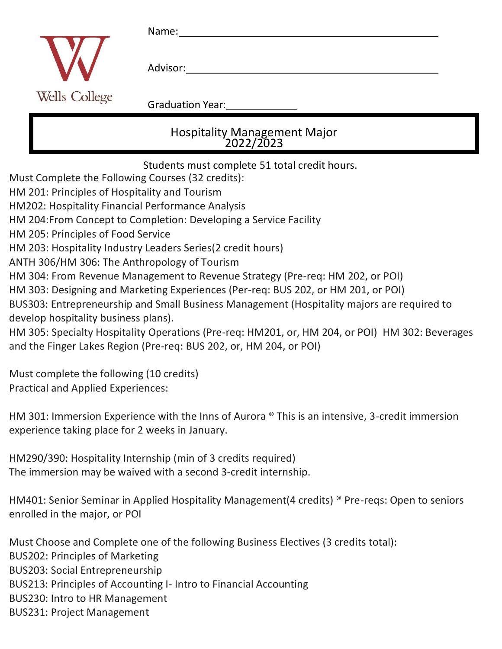|                                                                                                    |               | Name:                                     |  |
|----------------------------------------------------------------------------------------------------|---------------|-------------------------------------------|--|
|                                                                                                    |               | Advisor:                                  |  |
|                                                                                                    | Wells College | <b>Graduation Year:</b>                   |  |
|                                                                                                    |               | Hospitality Management Major<br>2022/2023 |  |
| Students must complete 51 total credit hours.<br>Must Complete the Following Courses (32 credits): |               |                                           |  |

HM 201: Principles of Hospitality and Tourism

HM202: Hospitality Financial Performance Analysis

HM 204:From Concept to Completion: Developing a Service Facility

HM 205: Principles of Food Service

HM 203: Hospitality Industry Leaders Series(2 credit hours)

ANTH 306/HM 306: The Anthropology of Tourism

HM 304: From Revenue Management to Revenue Strategy (Pre-req: HM 202, or POI)

HM 303: Designing and Marketing Experiences (Per-req: BUS 202, or HM 201, or POI)

BUS303: Entrepreneurship and Small Business Management (Hospitality majors are required to develop hospitality business plans).

HM 305: Specialty Hospitality Operations (Pre-req: HM201, or, HM 204, or POI) HM 302: Beverages and the Finger Lakes Region (Pre-req: BUS 202, or, HM 204, or POI)

Must complete the following (10 credits) Practical and Applied Experiences:

HM 301: Immersion Experience with the Inns of Aurora ® This is an intensive, 3-credit immersion experience taking place for 2 weeks in January.

HM290/390: Hospitality Internship (min of 3 credits required) The immersion may be waived with a second 3-credit internship.

HM401: Senior Seminar in Applied Hospitality Management(4 credits) ® Pre-reqs: Open to seniors enrolled in the major, or POI

Must Choose and Complete one of the following Business Electives (3 credits total): BUS202: Principles of Marketing BUS203: Social Entrepreneurship

BUS213: Principles of Accounting I- Intro to Financial Accounting

BUS230: Intro to HR Management

BUS231: Project Management